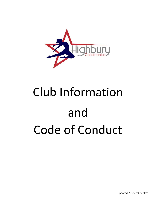

# Club Information and Code of Conduct

Updated: September 2021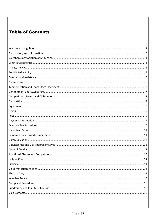#### **Table of Contents**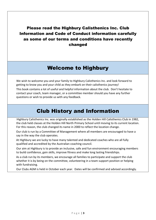Please read the Highbury Calisthenics Inc. Club Information and Code of Conduct information carefully as some of our terms and conditions have recently changed

# Welcome to Highbury

<span id="page-2-0"></span>We wish to welcome you and your family to Highbury Calisthenics Inc. and look forward to getting to know you and your child as they embark on their calisthenics journey! This book contains a lot of useful and helpful information about the club. Don't hesitate to contact your coach, team manager, or a committee member should you have any further questions or wish to provide us with any feedback.

# Club History and Information

<span id="page-2-1"></span>Highbury Calisthenics Inc. was originally established as the Holden Hill Calisthenics Club in 1982, the club held classes at the Holden Hill North Primary School until moving to its current location. For this reason, the club changed its name in 2000 to reflect the location change.

Our club is run by a Committee of Management where all members are encouraged to have a say in the way the club operates.

At Highbury we are lucky to have many talented and dedicated coaches who are all fully qualified and accredited by the Australian coaching council.

Our aim at Highbury is to provide an inclusive, safe and fun environment encouraging members to build confidence, gain skills, improve fitness and make long lasting friendships.

As a club run by its members, we encourage all families to participate and support the club whether it is by being on the committee, volunteering in a team support position or helping with fundraising.

Our Clubs AGM is held in October each year. Dates will be confirmed and advised accordingly.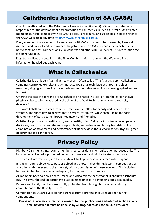# Calisthenics Association of SA (CASA)

<span id="page-3-0"></span>Our club is affiliated with the Calisthenics Association of SA (CASA). CASA is the state body responsible for the development and promotion of calisthenics in South Australia. As affiliated members our club complies with all CASA policies, procedures and guidelines. You can refer to the CASA website at any time [http://www.calisthenicssa.com.au](http://www.calisthenicssa.com.au/)

Every member of our club must be registered with CASA in order to be covered by Personal Accident and Public Liability Insurance. Registration with CASA is a yearly fee, which covers participants at class, competitions, club concerts and other club run events. This registration fee is non-refundable.

Registration Fees are detailed in the New Members Information and the Welcome Back information handed out each year.

# What is Calisthenics

<span id="page-3-1"></span>Calisthenics is a uniquely Australian team sport. Often called "The Artistic Sport", Calisthenics combines controlled exercise and gymnastics; apparatus technique with rods and clubs; marching; singing and dancing (ballet, folk and modern dance), which is choreographed and set to music.

Offering the best of sport and art, Calisthenics originated in Victoria from the earlier known physical culture, which was used at the time of the Gold Rush, as an activity to keep city dwellers fit.

The word Calisthenics, comes from the Greek words 'kallos' for beauty and 'sthenos' for strength. The sport aims to achieve those physical attributes, while encouraging the social development of participants through teamwork and friendship.

Calisthenics promotes a healthy body and a healthy mind. Being part of a team develops selfdiscipline, teamwork, commitment, responsibility, self-esteem and lasting friendships. The combination of movement and performance skills provides fitness, coordination, rhythm, grace, deportment and confidence.

## Privacy Policy

<span id="page-3-2"></span>Highbury Calisthenics Inc. require member's personal details for registration purposes only. The information collected is protected under the privacy act and will be treated accordingly.

The medical information given to the club, will be kept in case of any medical emergency.

It is against our club policy to post or upload any photos taken during lessons, competitions or any other club run event to the internet, without permission of those involved. This includes, but not limited to – Facebook, Instagram, Twitter, You Tube, Tumblr etc.

All members need to sign a photo, image and video release each year at Highbury Calisthenics Inc. This gives the club opportunity to use selected photos in advertising and social media.

Parents and family members are strictly prohibited from taking photos or video during competitions at the Royalty Theatre.

Competition DVD's are available for purchase from a professional videographer during competitions.

**Please note: You may retract your consent for this publications and internet section at any time, however, it must be done so by writing, addressed to the Club President.**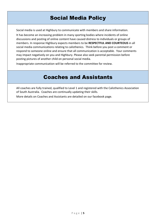# Social Media Policy

<span id="page-4-0"></span>Social media is used at Highbury to communicate with members and share information.

It has become an increasing problem in many sporting bodies where incidents of online discussions and posting of online content have caused distress to individuals or groups of members. In response Highbury expects members to be **RESPECTFUL AND COURTEOUS** in all social media communications relating to calisthenics. Think before you post a comment or respond to someone online and ensure that all communication is acceptable. Your comments may impact negatively on you and Highbury. Please also seek parental permission before posting pictures of another child on personal social media.

<span id="page-4-1"></span>Inappropriate communication will be referred to the committee for review.

## Coaches and Assistants

All coaches are fully trained, qualified to Level 1 and registered with the Calisthenics Association of South Australia. Coaches are continually updating their skills.

<span id="page-4-2"></span>More details on Coaches and Assistants are detailed on our facebook page.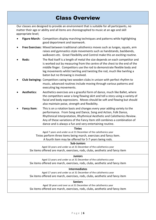<span id="page-5-0"></span>

| <b>Class Overview</b>                                                                                                                                                                                          |                    |                                                                                                                                                                                                                                                                                                                                                                 |  |  |
|----------------------------------------------------------------------------------------------------------------------------------------------------------------------------------------------------------------|--------------------|-----------------------------------------------------------------------------------------------------------------------------------------------------------------------------------------------------------------------------------------------------------------------------------------------------------------------------------------------------------------|--|--|
| Our classes are designed to provide an environment that is suitable for all participants, no<br>matter their age or ability and all items are choreographed to music at an age and skill<br>appropriate level; |                    |                                                                                                                                                                                                                                                                                                                                                                 |  |  |
|                                                                                                                                                                                                                |                    | Figure March: Competitors display marching techniques and patterns while highlighting<br>good deportment and teamwork.                                                                                                                                                                                                                                          |  |  |
|                                                                                                                                                                                                                |                    | Free Exercises: Mixed between traditional calisthenics moves such as lunges, squats, arm<br>raises and gymnastics style movements such as handstands, backbends,<br>walkovers etc. Great Flexibility and Control make this an exciting routine.                                                                                                                 |  |  |
|                                                                                                                                                                                                                | Rods:              | The Rod itself is a length of metal the size depends on each competitor and<br>is worked out by measuring from the centre of the chest to the end of the<br>middle finger. Competitors use the rod to demonstrate flexible body and<br>leg movements whilst twirling and twisting the rod, much like twirling a<br>baton but no throwing is involved.           |  |  |
|                                                                                                                                                                                                                |                    | Club Swinging: Competitors swing two wooden clubs in unison with perfect rhythm to<br>music, advanced routines include moving through various patterns and<br>executing leg movements.                                                                                                                                                                          |  |  |
|                                                                                                                                                                                                                | <b>Aesthetics:</b> | Aesthetics exercises are a graceful form of dance, much like Ballet, where<br>the competitors wear a long flowing skirt and tell a story using a variety of<br>facial and body expressions. Moves should be soft and flowing but should<br>also maintain poise, strength and flexibility.                                                                       |  |  |
|                                                                                                                                                                                                                | <b>Fancy Item:</b> | This is on a rotation basis and changes every year adding variety to the<br>performance. From Song and Dance, Song and Action, Folk Dance,<br>Rhythmical Interpretation, Rhythmical Aesthetic and Calisthenics Review.<br>Any of these variations of the Fancy Item still combines a combination of<br>dance and is always a fun and very entertaining routine. |  |  |
|                                                                                                                                                                                                                |                    | <b>Tinies</b>                                                                                                                                                                                                                                                                                                                                                   |  |  |
| Aged 7 years and under as at 31 December of the calisthenics year                                                                                                                                              |                    |                                                                                                                                                                                                                                                                                                                                                                 |  |  |
| Tinies perform three items being march, exercises and fancy item.                                                                                                                                              |                    |                                                                                                                                                                                                                                                                                                                                                                 |  |  |
|                                                                                                                                                                                                                |                    | A fourth item may be offered for 5-7 years being rods.<br><b>Sub-Juniors</b>                                                                                                                                                                                                                                                                                    |  |  |
| Aged 10 years and under as at 31 December of the calisthenics year                                                                                                                                             |                    |                                                                                                                                                                                                                                                                                                                                                                 |  |  |
| Six items offered are march, exercises, rods, clubs, aesthetic and fancy item                                                                                                                                  |                    |                                                                                                                                                                                                                                                                                                                                                                 |  |  |
|                                                                                                                                                                                                                |                    | <b>Juniors</b>                                                                                                                                                                                                                                                                                                                                                  |  |  |
| Aged 13 years and under as at 31 December of the calisthenics year                                                                                                                                             |                    |                                                                                                                                                                                                                                                                                                                                                                 |  |  |
| Six items offered are march, exercises, rods, clubs, aesthetic and fancy item                                                                                                                                  |                    |                                                                                                                                                                                                                                                                                                                                                                 |  |  |
|                                                                                                                                                                                                                |                    | <b>Intermediates</b>                                                                                                                                                                                                                                                                                                                                            |  |  |
| Aged 17 years and under as at 31 December of the calisthenics year<br>Six items offered are march, exercises, rods, clubs, aesthetic and fancy item                                                            |                    |                                                                                                                                                                                                                                                                                                                                                                 |  |  |
| <b>Seniors</b>                                                                                                                                                                                                 |                    |                                                                                                                                                                                                                                                                                                                                                                 |  |  |
| Aged 18 years and over as at 31 December of the calisthenics year<br>Six items offered are march, exercises, rods, clubs, aesthetic and fancy item                                                             |                    |                                                                                                                                                                                                                                                                                                                                                                 |  |  |
|                                                                                                                                                                                                                |                    |                                                                                                                                                                                                                                                                                                                                                                 |  |  |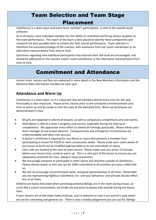# Team Selection and Team Stage Placement

Calisthenics is a team sport and every team member's participation, is vital to the overall result achieved.

As in all teams, each individual member has the ability to contribute and bring various qualities to the team performance. The coach of the team is best placed to identify these components and comprise the best possible team to achieve the best overall performance. Team selection is therefore the exclusive privilege of the coaches, with assistance from our coach coordinator or an alternative representative from time to time.

Questions regarding how individual participants may improve their skill level are encouraged, and should be addressed to the coaches and/or coach coordinator or the alternative representative from time to time.

# Commitment and Attendance

<span id="page-6-0"></span>Lesson times, venues and fees are explained in more detail in the New Members Information and the Welcome Back information handed out each year

#### **Attendance and Warm Up**

Calisthenics is a team sport, so it is important that all members attend every class for the year. Punctuality is also important. Please arrive 15mins prior to the scheduled commencement class time to warm up and be ready to start the class at the allocated time. Warm up techniques are demonstrated in class.

- All girls are expected to attend all lessons, as well as compulsory competitions and club events.
- Attendance is vital to a team's progress and success, especially during the lead up to competitions. We appreciate every effort to attend all trainings punctually. Please advise your team manager of any known absence. Compassionate and emergency circumstances are understandable and taken into account.
- A doctor's certificate is required for any illness or injury that prevents a member from participating in lesson for FOUR or more consecutive weeks. Please make your coach aware of any issues so work can be modified appropriately as to not exacerbate an injury.
- Class rolls are marked at the start of every lesson. Please make sure you arrive 15 minutes before your lesson time, ready to warm up. This is a vital part of the lesson to ensure you are adequately stretched for class, aiding in injury prevention.
- We encourage everyone to participate in other sports and activities outside of calisthenics. Please choose wisely so that you can be 100% committed to all activities you (your child) take on.
- We aim to encourage successful team work, and good sportsmanship at all times. Remember you are representing Highbury Calisthenics Inc. and your behaviour and attitude should reflect this at all times.

Children are easily distracted when parents/guardians/siblings are in the room during lesson, so much like a school environment, we kindly ask everyone to please wait outside during the lesson time.

If your lessons are at the Hope Valley Institute, you're welcome to stay in our parent's area which we use for costuming and general use. There is also a nearby playground you can use for siblings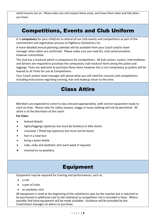whilst lessons are on. Please take care and respect these areas, and leave them clean and tidy when you leave.

# <span id="page-7-0"></span>Competitions, Events and Club Uniform

It is **compulsory** for your child/ren to attend all our club events and competitions as part of the commitment and registration process at Highbury Calisthenics Inc.

A more detailed annual planning calendar will be available from your Coach and/or team manager when dates are confirmed. Please make sure you read ALL club communication however transmitted.

The club has a tracksuit which is compulsory for competitions. All Sub Juniors, Juniors, Intermediates and Seniors are required to purchase the compulsory club tracksuit items being the jacket and leggings. Tines are welcome to purchase these items however this is not compulsory as jackets will be loaned to all Tinies for use at Competitions.

<span id="page-7-1"></span>Your Coach and/or team manager will advise what you will need for concerts and competitions including instructions regarding tanning, hair and makeup closer to the time.

# Class Attire

Members are expected to come to class dressed appropriately, with correct equipment ready to start on time. Please note for safety reasons, baggy or loose clothing will not be permitted. All attire is at the discretion of the coach.

**For Class:**

- leotard (black)
- tights/leggings (optional, but must be footless) or bike shorts
- crossover / fitted top (optional, but must not be loose)
- hair in a neat bun
- bring a water bottle
- rods, clubs and aesthetic skirt each week if required
- minimal to no jewellery

#### Equipment

<span id="page-7-2"></span>Equipment may be required for training and performances, such as:

- a rod
- a pair of clubs
- an aesthetic skirt

<span id="page-7-3"></span>All equipment is sized at the beginning of the calisthenics year by the coaches but is required to be purchased at additional cost to the individual (a competition rod is included in fees). Where possible 2nd hand equipment will be made available. Guidance will be provided by the Coach/team manager on where to purchase.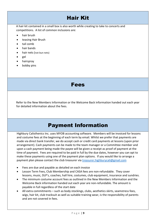# Hair Kit

A hair kit contained in a small box is also worth while creating to take to concerts and competitions. A list of common inclusions are:

- hair brush
- teasing Hair Brush
- tail comb
- hair bands
- hair nets (not bun nets)
- gel
- hairspray
- <span id="page-8-0"></span>• bobby pins

# Fees

Refer to the New Members Information or the Welcome Back information handed out each year for detailed information about the fees.

## Payment Information

<span id="page-8-1"></span>Highbury Calisthenics Inc. uses MYOB accounting software. Members will be invoiced for lessons and costume fees at the beginning of each term by email. Whilst we prefer that payments are made via direct bank transfer, we do accept cash or credit card payments at lessons (upon prior arrangement). Cash payments can be made to the team manager or a Committee member and upon a cash payment being made the payee will be given a receipt as proof of payment at the time of payment. Fees are required to be paid in full by the due dates, however you can opt to make these payments using one of the payment plan options. If you would like to arrange a payment plan please contact the club treasurer via [treasurer.highburycali@gmail.com](mailto:treasurer.highburycali@gmail.com)

- Fees are due and payable as detailed on each invoice
- Lesson Term Fees, Club Membership and CASA fees are non-refundable. They cover lessons, music, DLP's, coaches, hall hire, costumes, club equipment, insurance and sundries.
- The minimum costume account fees as outlined in the New Members Information and the Welcome Back information handed out each year are non-refundable. The amount is payable in full regardless of the start date
- All extra commitments such as body stockings, clubs, aesthetics skirts, seamstress fees, wigs, hair kit, club tracksuit as well as suitable training wear, is the responsibility of parents and are not covered in fees.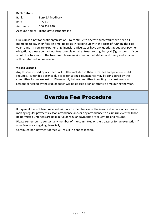#### **Bank Details:**

Bank: Bank SA Modbury BSB: 105 135 Account No: 506 339 940 Account Name: Highbury Calisthenics Inc

Our Club is a not for profit organisation. To continue to operate successfully, we need all members to pay their fees on time, to aid us in keeping up with the costs of running the club year round. If you are experiencing financial difficulty, or have any queries about your payment obligations, please contact our treasurer via email at treasurer.highburycali@gmail.com. If you would like to speak to the treasurer please email your contact details and query and your call will be returned in due course.

#### **Missed Lessons**

Any lessons missed by a student will still be included in their term fees and payment is still required. Extended absence due to extenuating circumstance may be considered by the committee for fee exclusion. Please apply to the committee in writing for consideration. Lessons cancelled by the club or coach will be utilised at an alternative time during the year..

#### Overdue Fee Procedure

<span id="page-9-0"></span>If payment has not been received within a further 14 days of the invoice due date or you cease making regular payments lesson attendance and/or any attendance to a club run event will not be permitted until fees are paid in full or regular payments are caught up and resume.

Please remember to contact any member of the committee or the treasurer for an exemption if your family is struggling financially.

Continued non-payment of fees will result in debt collection.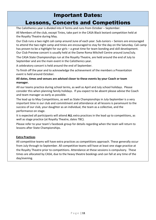#### Important Dates:

# Lessons, Concerts and Competitions

<span id="page-10-1"></span><span id="page-10-0"></span>The Calisthenics year is divided into 4 Terms and runs from October – September.

All Members of the club, except Tinies, take part in the CASA Black leotard competition held at the Royalty Theatre during May.

Our Club runs a two night cali camp around June of each year. Sub-Juniors – Seniors are encouraged to attend the two night camp and tinies are encouraged to stay for the day on the Saturday. Cali camp has proven to be a highlight for our girls – a great time for team bonding and skill development. Our Club Preview concert is usually held at the Dame Roma Mitchell Centre around June/July.

The CASA State Championships run at the Royalty Theatre, are held around the end of July to September and are the main event in the Calisthenics year.

A celebratory concert is held around the end of September.

To finish off the year and to acknowledge the achievement of the members a Presentation event is held around October.

#### **All dates, times and venues are advised closer to these events by your Coach or team manager.**

All our teams practice during school terms, as well as April and July school holidays. Please consider this when planning family holidays. If you expect to be absent please advise the Coach and team manager as early as possible.

The lead up to May Competitions, as well as State Championships in July-September is a very important time in our club and commitment and attendance at all lessons is paramount to the success of our club, your daughter as an individual, the team as a collective, and the performance on stage.

It is expected all participants will attend **ALL** extra practices in the lead up to competitions, as well as stage practice (at Royalty Theatre, dates TBC).

Please refer to your team's facebook group for details regarding when the team will return to lessons after State Championships.

#### **Extra Practices**

All competitive teams will have extra practices as competitions approach. These generally occur from July through to September. All competitive teams will have at least one stage practice at the Royalty Theatre prior to competitions. Attendance at these sessions is compulsory. These times are allocated by CASA, due to the heavy theatre bookings and can fall at any time of the day/evening.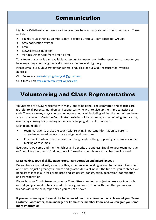## Communication

<span id="page-11-0"></span>Highbury Calisthenics Inc. uses various avenues to communicate with their members. These include;

- Highbury Calisthenics Members only Facebook Group & Team Facebook Groups
- SMS notification system
- **Email**
- Newsletters & Bulletins
- Various Other Apps from time to time

Your team manager is also available at lessons to answer any further questions or queries you have regarding your daughters calisthenics experience at Highbury.

Please email our Club Secretary for general enquiries, or our Club Treasurer for invoicing queries;

Club Secretary: [secretary.highburycali@gmail.com](mailto:secretary.highburycali@gmail.com)

Club Treasurer: [treasurer.highburycali@gmail.com](mailto:treasurer.highburycali@gmail.com)

# <span id="page-11-1"></span>Volunteering and Class Representatives

Volunteers are always welcome with many jobs to be done. The committee and coaches are grateful to all parents, members and supporters who wish to give up their time to assist our club. There are many ways you can volunteer at our club including joining the committee, being a team manager or Costume Coordinator, assisting with costuming and sequinning, fundraising events (eg cooking BBQs, selling raffle tickets, helping at the club concert).

Each team needs a;

- team manager to assist the coach with relaying important information to parents, attendance record maintenance and general questions.
- Costume Coordinator to oversee costuming needs of the group and guide families in the making of costumes.

Everyone is welcome and the friendships and benefits are endless. Speak to your team manager or Committee member to find out more information about how you can become involved.

#### **Dressmaking, Special Skills, Stage Props, Transportation and miscellaneous**

Do you have a special skill, an artistic flair, experience in building, access to materials like wood and paint, or just a great get in there and go attitude? Well now is the time for you to shine! We need assistance in all areas, from prop and set design, construction, decoration, coordination and transportation.

Please let your Coach, team manager or Committee member know just where your talents lie, or that you just want to be involved. This is a great way to bond with the other parents and friends within the club, especially if you're not a sewer.

**If you enjoy sewing and would like to be one of our dressmaker contacts please let your Team Costume Coordinator, team manager or Committee member know and we can give you some more information.**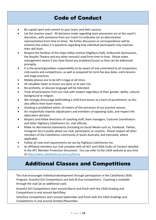# Code of Conduct

- <span id="page-12-0"></span>Be a good sport and commit to your team, and their success.
- Let the coaches coach. All decisions made regarding team placement are at the coach's discretion, with assistance from our Coach Co-ordinator (or an alternatative representative from time to time). No futher discussion or correspondence will be entered into unless it is questions regarding how individual participants may improve their skill level.
- Respect the facilities of the Hope Valley Institue (Highbury Hall), Ardtornish Gymnasium, the Royalty Theatre and any other venue(s) used from time to time. Please make management aware if you have found any problems/issues so they can be addressed promptly.
- It is the parent/guardians responsibility to be aware of and committed to all compulsory club events and competitions, as well as prepared for term fee due dates, extra lessons and stage practices.
- Mobile phones are to be left in bags at all times.
- All valuables taken to lesson are done so at own risk.
- No profanity, or abusive language will be tolerated.
- Treat all participants from our club with respect regardless of their gender, ability, cultural background or religion.
- We strongly discourage withholding a child from lesson as a form of punishment, as this also affects their team mates.
- Smoking is prohibited within 10 meters of the entrances of our practice venues.
- Act respectfully towards adjudicators and members of opposing clubs, and respect the adjuicators decision.
- Respect and follow directions of coaching staff, team managers, Costume Coordinators and other Highbury Calisthenics Inc. club officials.
- Make no detrimental statements (including on Social Media such as, Facebook, Twitter, Instagram etc) in public about our club, participants or coaches. Please respect all other members of the Calisthenics community in South Australia, and interstate, where applicable.
- Follow all rules and requirements set out by Highbury Calisthenics Inc.
- As affiliated members our club complies with all ACF and CASA Codes of Conduct detailed in the AFC Member Protection Document. You can refer to the CASA website at any time at<http://www.calisthenicssa.com.au/forms>

#### Additional Classes and Competitions

<span id="page-12-1"></span>The club encourages individual development through participation in the Calisthenics Skills Program, Graceful Girl Competitions and Solo & Duo Competitions. Coaching is available through the club (at an additional cost).

Graceful Girl Competitions start around March and finish with the CASA Grading and Competitions in and around April/May.

Solo/Duo Competitions start around September and finish with the CASA Gradings and Competitions in and around October/November.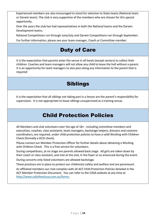Experienced members are also encouraged to stand for selection to State teams (National team or Darwin team). The club is very supportive of the members who are chosen for this special opportunity.

Over the years the club has had representatives in both the National teams and the Darwin Development teams.

National Competitions run through June/July and Darwin Competitions run through September.

<span id="page-13-0"></span>For further information, please see your team manager, Coach or Committee member.

# Duty of Care

It is the expectation that parents enter the venue in all levels (except seniors) to collect their children. Coaches and team managers will not allow any child to leave the hall without a parent. It is an opportunity for team managers to also pass along any information to the parent that is required

## Siblings

<span id="page-13-1"></span>It is the expectation that all siblings not taking part in a lesson are the parent's responsibility for supervision. It is not appropriate to leave siblings unsupervised at a training venue.

# Child Protection Policies

<span id="page-13-2"></span>All Members and club volunteers over the age of 18+ - including committee members and executives, coaches, class assistants, team managers, backstage helpers, dressers and costume coordinators, are required, under child protection policies to have a valid Working with Children Check (formally a DCSI check).

Please contact our Member Protection Officer for further details about obtaining a Working with Children Check. This is a free service for volunteers.

During competitions, at no stage are parents allowed back stage. All girls are taken down by their coach or class assistant, and met at the end, in the foyer or as anounced during the event.

During concerts only listed volunteers are allowed backstage.

These practices are in place to protect our children(s) safety and welfare and are paramount.

As affiliated members our club complies with all ACF Child Protection Policies detailed in the ACF Member Protection Document. You can refer to the CASA website at any time at [http://www.calisthenicssa.com.au/forms.](http://www.calisthenicssa.com.au/forms)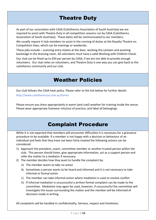# Theatre Duty

<span id="page-14-0"></span>As part of our association with CASA (Calisthenics Association of South Austrlaia) we are required to assist with Theatre Duty in all competition seasons run by CASA (Calisthenics Association of South Austrlaia). These dates will be communicated to our members.

We usually require 4 club members to assist in the running of duties at the Royalty Theatre on Competition Days, which can be evenings or weekends.

These jobs include – scanning entry tickets at the door, working the canteen and assisting backstage in the dressing room. All volunteers must have a valid Working with Children Check.

Our club can be fined up to \$50 per person by CASA, if we are not able to provide enough volunteers. Our club relies on volunteers, and Theatre Duty is one way you can give back to the calisthenics community and our club.

# Weather Policies

<span id="page-14-1"></span>Our club follows the CASA heat policy. Please refer to the link below for further details http://www.calisthenicssa.com.au/forms

Please ensure you dress appropriately in warm (and cool) weather for training inside the venue. Please wear appropriate footwear into/out of practice, and label all belongings.

## Complaint Procedure

<span id="page-14-2"></span>While it is not expected that members will encounter difficulties it is necessary for a grievance procedure to be available. If a member is not happy with a decision or behaviour of an individual and feels that they have not been fairly treated the following actions can be considered:

- 1) Approach the president, coach, committee member or another trusted person within the club. This person should listen, give appropriate information, act as a support person and refer the matter to a mediator if necessary.
- 2) The member decides how they want to handle the complaint by:
	- A) The member wants to take no action
	- B) Sometimes a person wants to be heard and informed and it is not necessary to take informal or formal action
	- C) The member can take informal action where mediation is used to resolve conflict
	- D) If informal mediation is unsuccessful a written formal complaint can be made to the committee. Mediation may again be used, however, if unsuccessful the committee will investigate the issues surrounding the matter and the member will be informed of decisions made in writing.

All complaints will be handled in confidentiality, fairness, respect and timeliness.